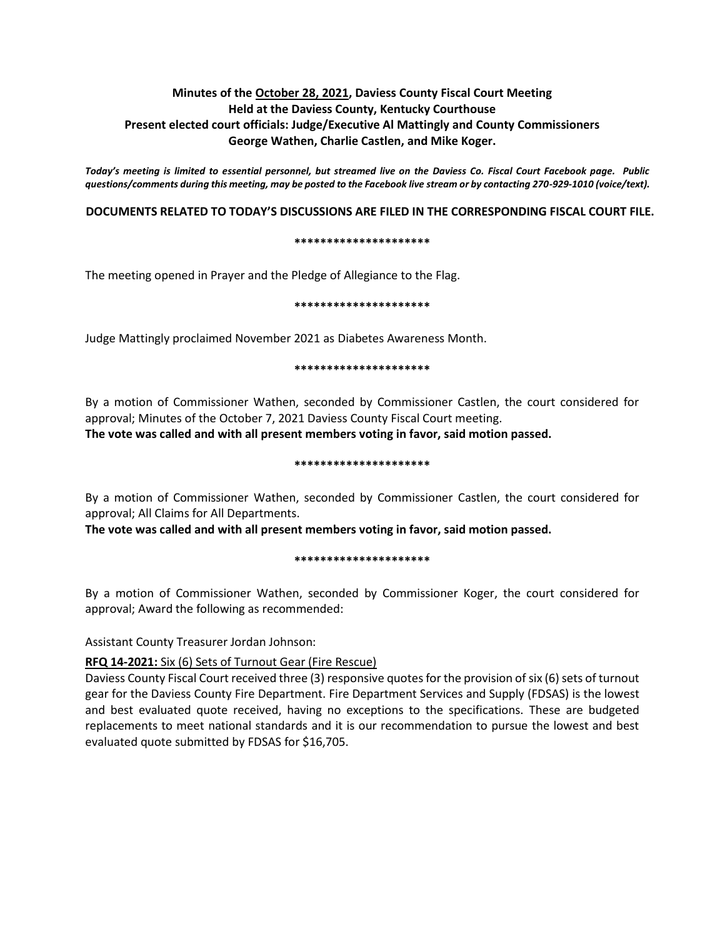# **Minutes of the October 28, 2021, Daviess County Fiscal Court Meeting Held at the Daviess County, Kentucky Courthouse Present elected court officials: Judge/Executive Al Mattingly and County Commissioners George Wathen, Charlie Castlen, and Mike Koger.**

*Today's meeting is limited to essential personnel, but streamed live on the Daviess Co. Fiscal Court Facebook page. Public questions/comments during this meeting, may be posted to the Facebook live stream or by contacting 270-929-1010 (voice/text).*

# **DOCUMENTS RELATED TO TODAY'S DISCUSSIONS ARE FILED IN THE CORRESPONDING FISCAL COURT FILE.**

#### **\*\*\*\*\*\*\*\*\*\*\*\*\*\*\*\*\*\*\*\*\***

The meeting opened in Prayer and the Pledge of Allegiance to the Flag.

#### **\*\*\*\*\*\*\*\*\*\*\*\*\*\*\*\*\*\*\*\*\***

Judge Mattingly proclaimed November 2021 as Diabetes Awareness Month.

#### **\*\*\*\*\*\*\*\*\*\*\*\*\*\*\*\*\*\*\*\*\***

By a motion of Commissioner Wathen, seconded by Commissioner Castlen, the court considered for approval; Minutes of the October 7, 2021 Daviess County Fiscal Court meeting.

**The vote was called and with all present members voting in favor, said motion passed.** 

### **\*\*\*\*\*\*\*\*\*\*\*\*\*\*\*\*\*\*\*\*\***

By a motion of Commissioner Wathen, seconded by Commissioner Castlen, the court considered for approval; All Claims for All Departments.

**The vote was called and with all present members voting in favor, said motion passed.** 

**\*\*\*\*\*\*\*\*\*\*\*\*\*\*\*\*\*\*\*\*\***

By a motion of Commissioner Wathen, seconded by Commissioner Koger, the court considered for approval; Award the following as recommended:

Assistant County Treasurer Jordan Johnson:

## **RFQ 14-2021:** Six (6) Sets of Turnout Gear (Fire Rescue)

Daviess County Fiscal Court received three (3) responsive quotes for the provision of six (6) sets of turnout gear for the Daviess County Fire Department. Fire Department Services and Supply (FDSAS) is the lowest and best evaluated quote received, having no exceptions to the specifications. These are budgeted replacements to meet national standards and it is our recommendation to pursue the lowest and best evaluated quote submitted by FDSAS for \$16,705.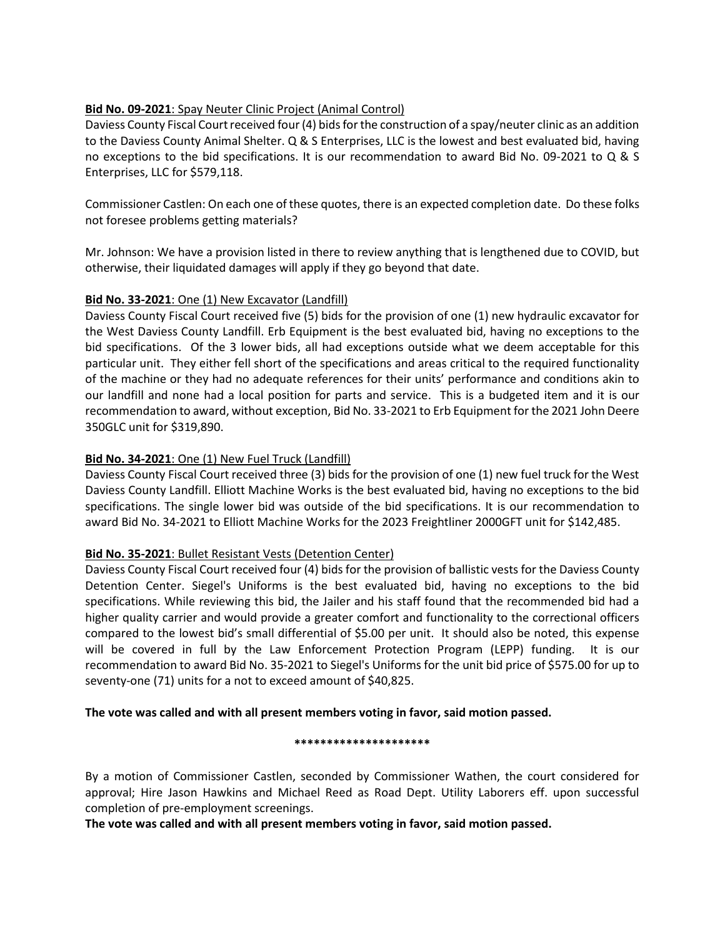# **Bid No. 09-2021**: Spay Neuter Clinic Project (Animal Control)

Daviess County Fiscal Court received four (4) bids for the construction of a spay/neuter clinic as an addition to the Daviess County Animal Shelter. Q & S Enterprises, LLC is the lowest and best evaluated bid, having no exceptions to the bid specifications. It is our recommendation to award Bid No. 09-2021 to Q & S Enterprises, LLC for \$579,118.

Commissioner Castlen: On each one of these quotes, there is an expected completion date. Do these folks not foresee problems getting materials?

Mr. Johnson: We have a provision listed in there to review anything that is lengthened due to COVID, but otherwise, their liquidated damages will apply if they go beyond that date.

# **Bid No. 33-2021**: One (1) New Excavator (Landfill)

Daviess County Fiscal Court received five (5) bids for the provision of one (1) new hydraulic excavator for the West Daviess County Landfill. Erb Equipment is the best evaluated bid, having no exceptions to the bid specifications. Of the 3 lower bids, all had exceptions outside what we deem acceptable for this particular unit. They either fell short of the specifications and areas critical to the required functionality of the machine or they had no adequate references for their units' performance and conditions akin to our landfill and none had a local position for parts and service. This is a budgeted item and it is our recommendation to award, without exception, Bid No. 33-2021 to Erb Equipment for the 2021 John Deere 350GLC unit for \$319,890.

# **Bid No. 34-2021**: One (1) New Fuel Truck (Landfill)

Daviess County Fiscal Court received three (3) bids for the provision of one (1) new fuel truck for the West Daviess County Landfill. Elliott Machine Works is the best evaluated bid, having no exceptions to the bid specifications. The single lower bid was outside of the bid specifications. It is our recommendation to award Bid No. 34-2021 to Elliott Machine Works for the 2023 Freightliner 2000GFT unit for \$142,485.

# **Bid No. 35-2021**: Bullet Resistant Vests (Detention Center)

Daviess County Fiscal Court received four (4) bids for the provision of ballistic vests for the Daviess County Detention Center. Siegel's Uniforms is the best evaluated bid, having no exceptions to the bid specifications. While reviewing this bid, the Jailer and his staff found that the recommended bid had a higher quality carrier and would provide a greater comfort and functionality to the correctional officers compared to the lowest bid's small differential of \$5.00 per unit. It should also be noted, this expense will be covered in full by the Law Enforcement Protection Program (LEPP) funding. It is our recommendation to award Bid No. 35-2021 to Siegel's Uniforms for the unit bid price of \$575.00 for up to seventy-one (71) units for a not to exceed amount of \$40,825.

**The vote was called and with all present members voting in favor, said motion passed.** 

## **\*\*\*\*\*\*\*\*\*\*\*\*\*\*\*\*\*\*\*\*\***

By a motion of Commissioner Castlen, seconded by Commissioner Wathen, the court considered for approval; Hire Jason Hawkins and Michael Reed as Road Dept. Utility Laborers eff. upon successful completion of pre-employment screenings.

**The vote was called and with all present members voting in favor, said motion passed.**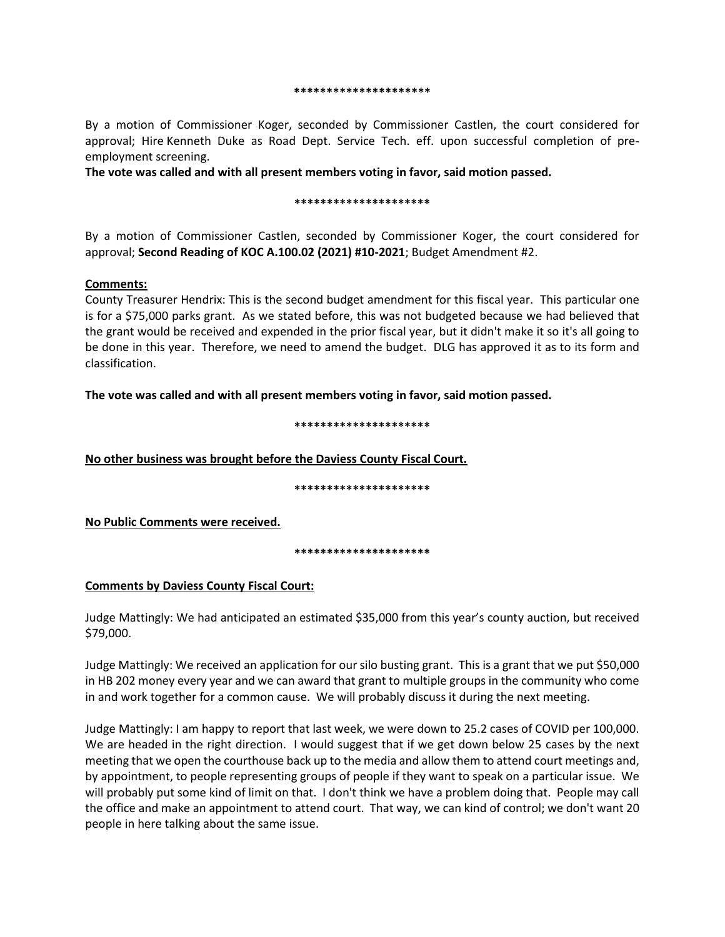#### **\*\*\*\*\*\*\*\*\*\*\*\*\*\*\*\*\*\*\*\*\***

By a motion of Commissioner Koger, seconded by Commissioner Castlen, the court considered for approval; Hire Kenneth Duke as Road Dept. Service Tech. eff. upon successful completion of preemployment screening.

**The vote was called and with all present members voting in favor, said motion passed.**

## **\*\*\*\*\*\*\*\*\*\*\*\*\*\*\*\*\*\*\*\*\***

By a motion of Commissioner Castlen, seconded by Commissioner Koger, the court considered for approval; **Second Reading of KOC A.100.02 (2021) #10-2021**; Budget Amendment #2.

## **Comments:**

County Treasurer Hendrix: This is the second budget amendment for this fiscal year. This particular one is for a \$75,000 parks grant. As we stated before, this was not budgeted because we had believed that the grant would be received and expended in the prior fiscal year, but it didn't make it so it's all going to be done in this year. Therefore, we need to amend the budget. DLG has approved it as to its form and classification.

**The vote was called and with all present members voting in favor, said motion passed.**

### **\*\*\*\*\*\*\*\*\*\*\*\*\*\*\*\*\*\*\*\*\***

**No other business was brought before the Daviess County Fiscal Court.**

**\*\*\*\*\*\*\*\*\*\*\*\*\*\*\*\*\*\*\*\*\***

**No Public Comments were received.** 

**\*\*\*\*\*\*\*\*\*\*\*\*\*\*\*\*\*\*\*\*\***

# **Comments by Daviess County Fiscal Court:**

Judge Mattingly: We had anticipated an estimated \$35,000 from this year's county auction, but received \$79,000.

Judge Mattingly: We received an application for our silo busting grant. This is a grant that we put \$50,000 in HB 202 money every year and we can award that grant to multiple groups in the community who come in and work together for a common cause. We will probably discuss it during the next meeting.

Judge Mattingly: I am happy to report that last week, we were down to 25.2 cases of COVID per 100,000. We are headed in the right direction. I would suggest that if we get down below 25 cases by the next meeting that we open the courthouse back up to the media and allow them to attend court meetings and, by appointment, to people representing groups of people if they want to speak on a particular issue. We will probably put some kind of limit on that. I don't think we have a problem doing that. People may call the office and make an appointment to attend court. That way, we can kind of control; we don't want 20 people in here talking about the same issue.